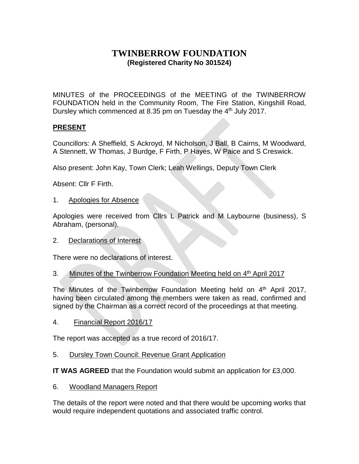# **TWINBERROW FOUNDATION (Registered Charity No 301524)**

MINUTES of the PROCEEDINGS of the MEETING of the TWINBERROW FOUNDATION held in the Community Room, The Fire Station, Kingshill Road, Dursley which commenced at 8.35 pm on Tuesday the 4<sup>th</sup> July 2017.

## **PRESENT**

Councillors: A Sheffield, S Ackroyd, M Nicholson, J Ball, B Cairns, M Woodward, A Stennett, W Thomas, J Burdge, F Firth, P Hayes, W Paice and S Creswick.

Also present: John Kay, Town Clerk; Leah Wellings, Deputy Town Clerk

Absent: Cllr F Firth.

## 1. Apologies for Absence

Apologies were received from Cllrs L Patrick and M Laybourne (business), S Abraham, (personal).

2. Declarations of Interest

There were no declarations of interest.

3. Minutes of the Twinberrow Foundation Meeting held on 4<sup>th</sup> April 2017

The Minutes of the Twinberrow Foundation Meeting held on 4<sup>th</sup> April 2017, having been circulated among the members were taken as read, confirmed and signed by the Chairman as a correct record of the proceedings at that meeting.

4. Financial Report 2016/17

The report was accepted as a true record of 2016/17.

5. Dursley Town Council: Revenue Grant Application

**IT WAS AGREED** that the Foundation would submit an application for £3,000.

6. Woodland Managers Report

The details of the report were noted and that there would be upcoming works that would require independent quotations and associated traffic control.